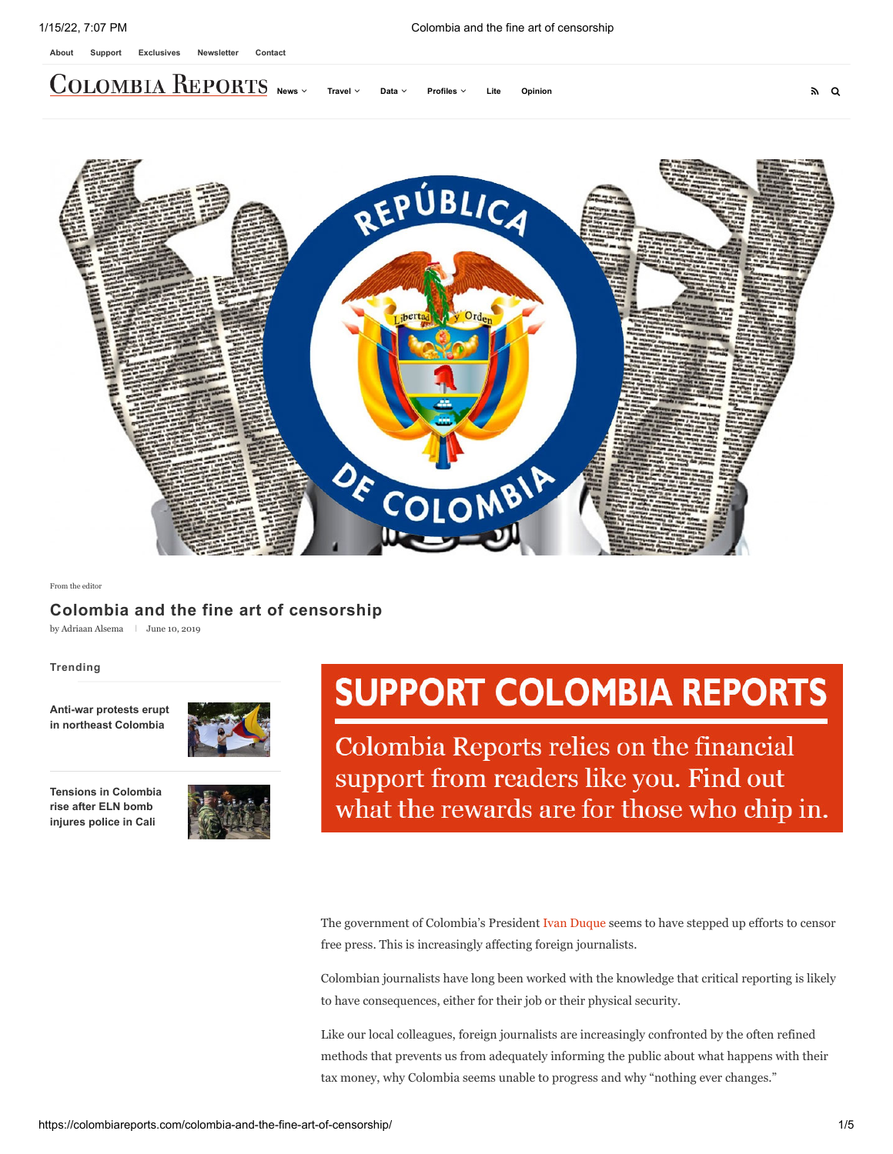**[News](https://colombiareports.com/colombia-news/) [Travel](https://colombiareports.com/colombia-travel/) [Data](https://colombiareports.com/data/) [Profiles](https://colombiareports.com/profiles/) [Lite](https://colombiareports.com/colombia-news-lite/) [Opinion](https://colombiareports.com/opinion/)**



[From the editor](https://colombiareports.com/opinion/from-the-editor/)

# **Colombia and the fine art of censorship**

by [Adriaan Alsema](https://colombiareports.com/author/adriaan/)  $\parallel$  June 10, 2019

#### **Trending**

**[Anti-war protests erupt](https://colombiareports.com/anti-war-protests-erupt-in-northeast-colombia/) in northeast Colombia**



**[Tensions in Colombia](https://colombiareports.com/tensions-in-colombia-rise-after-eln-bomb-injures-police-in-cali/) rise after ELN bomb injures police in Cali**



# **SUPPORT COLOMBIA REPORTS**

Colombia Reports relies on the financial support from readers like you. Find out what the rewards are for those who chip in.

The government of Colombia's President [Ivan Duque](https://colombiareports.com/ivan-duque/) seems to have stepped up efforts to censor free press. This is increasingly affecting foreign journalists.

Colombian journalists have long been worked with the knowledge that critical reporting is likely to have consequences, either for their job or their physical security.

Like our local colleagues, foreign journalists are increasingly confronted by the often refined methods that prevents us from adequately informing the public about what happens with their tax money, why Colombia seems unable to progress and why "nothing ever changes."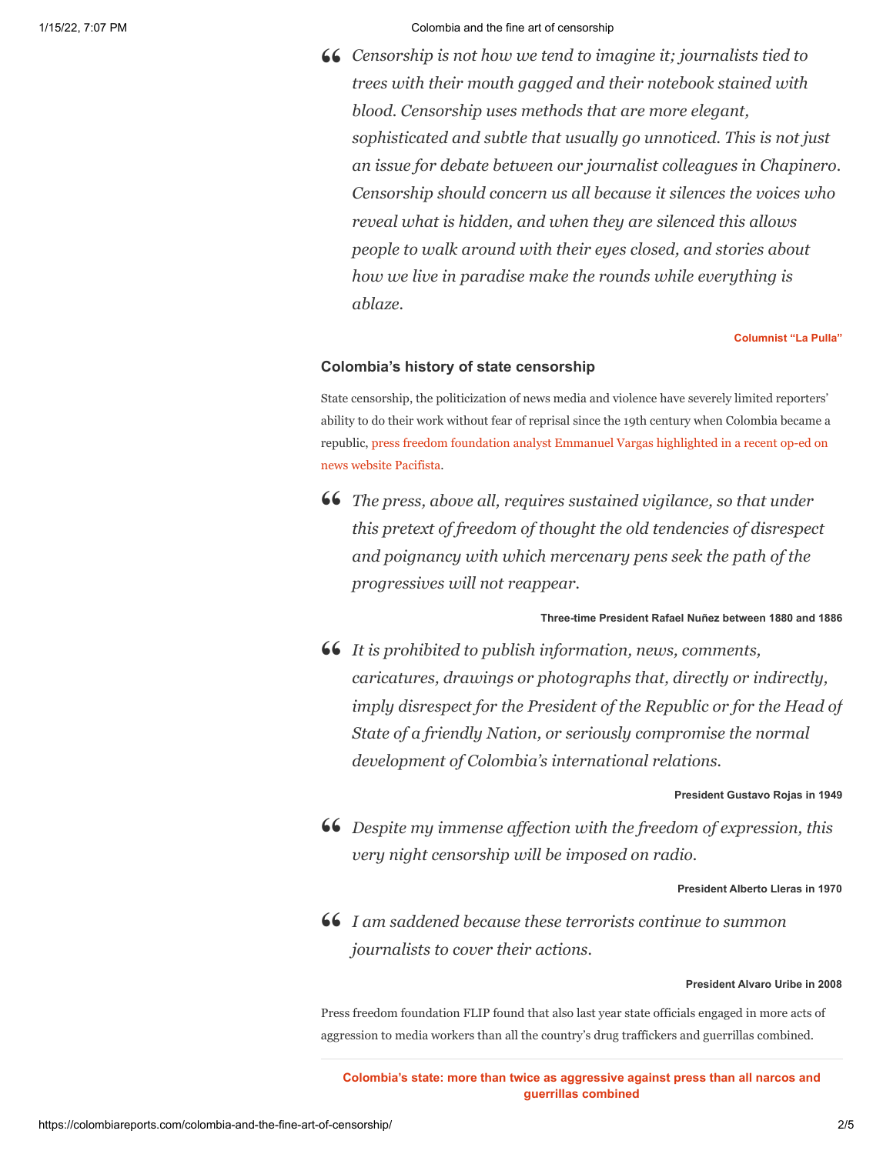#### 1/15/22, 7:07 PM Colombia and the fine art of censorship

*Censorship is not how we tend to imagine it; journalists tied to* **"** *trees with their mouth gagged and their notebook stained with blood. Censorship uses methods that are more elegant, sophisticated and subtle that usually go unnoticed. This is not just an issue for debate between our journalist colleagues in Chapinero. Censorship should concern us all because it silences the voices who reveal what is hidden, and when they are silenced this allows people to walk around with their eyes closed, and stories about how we live in paradise make the rounds while everything is ablaze.*

**[Columnist "La Pulla"](https://www.youtube.com/watch?v=4oQLi1u2Xb8)**

## **Colombia's history of state censorship**

State censorship, the politicization of news media and violence have severely limited reporters' ability to do their work without fear of reprisal since the 19th century when Colombia became a [republic, press freedom foundation analyst Emmanuel Vargas highlighted in a recent op-ed on](https://pacifista.tv/notas/censura-gobierno-colombia-meme-opinion/) news website Pacifista.

**46** The press, above all, requires sustained vigilance, so that under<br>this pretext of freedom of thought the old tendencies of discovered *this pretext of freedom of thought the old tendencies of disrespect and poignancy with which mercenary pens seek the path of the progressives will not reappear.*

## **Three-time President Rafael Nuñez between 1880 and 1886**

*It is prohibited to publish information, news, comments,* **"** *caricatures, drawings or photographs that, directly or indirectly, imply disrespect for the President of the Republic or for the Head of State of a friendly Nation, or seriously compromise the normal development of Colombia's international relations.*

**President Gustavo Rojas in 1949**

*Despite my immense affection with the freedom of expression, this* **"** *very night censorship will be imposed on radio.*

**President Alberto Lleras in 1970**

*I am saddened because these terrorists continue to summon* **"***journalists to cover their actions.*

## **President Alvaro Uribe in 2008**

Press freedom foundation FLIP found that also last year state officials engaged in more acts of aggression to media workers than all the country's drug traffickers and guerrillas combined.

**[Colombia's state: more than twice as aggressive against press than all narcos and](https://colombiareports.com/colombias-state-more-than-twice-as-aggressive-against-the-press-than-all-narcos-and-guerrillas-combined/) guerrillas combined**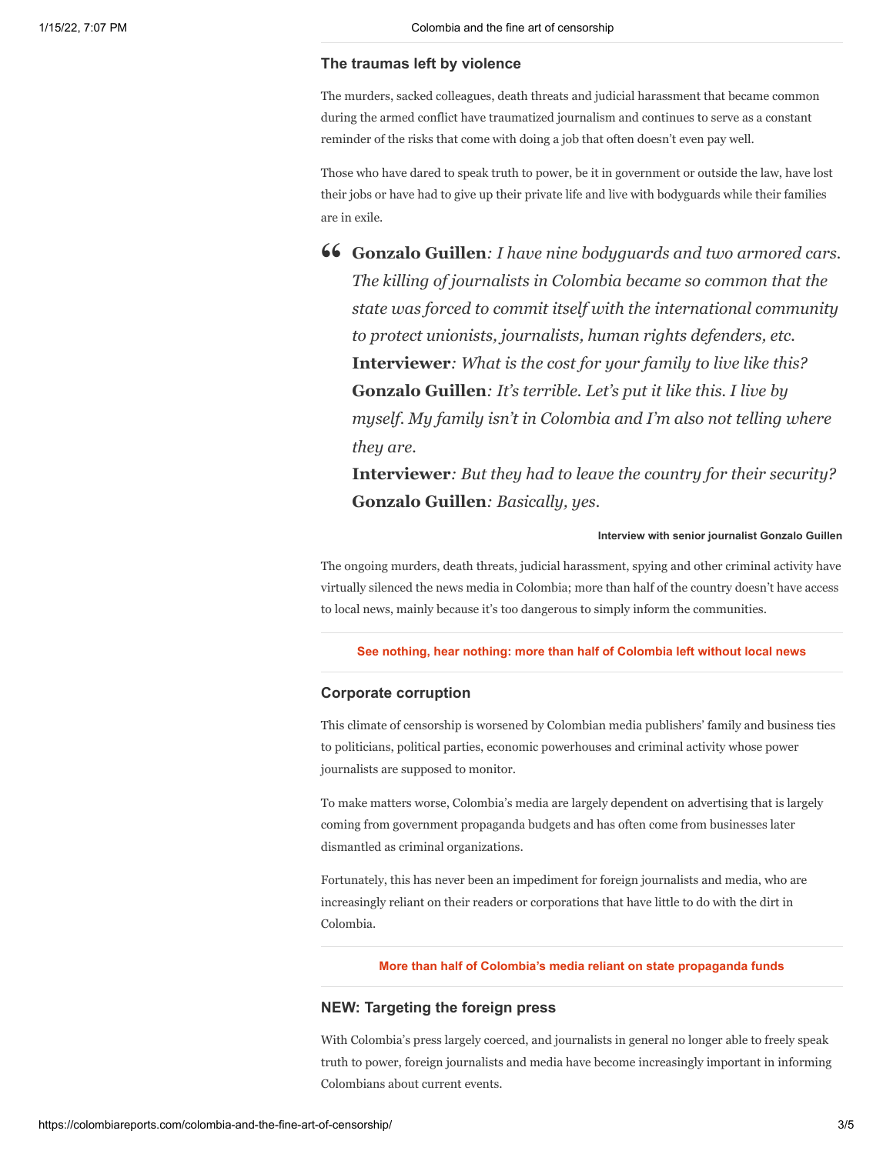## **The traumas left by violence**

The murders, sacked colleagues, death threats and judicial harassment that became common during the armed conflict have traumatized journalism and continues to serve as a constant reminder of the risks that come with doing a job that often doesn't even pay well.

Those who have dared to speak truth to power, be it in government or outside the law, have lost their jobs or have had to give up their private life and live with bodyguards while their families are in exile.

**Gonzalo Guillen***: I have nine bodyguards and two armored cars.* **"***The killing of journalists in Colombia became so common that the state was forced to commit itself with the international community to protect unionists, journalists, human rights defenders, etc.* **Interviewer***: What is the cost for your family to live like this?* **Gonzalo Guillen***: It's terrible. Let's put it like this. I live by myself. My family isn't in Colombia and I'm also not telling where they are.*

**Interviewer***: But they had to leave the country for their security?* **Gonzalo Guillen***: Basically, yes.*

#### **Interview with senior journalist Gonzalo Guillen**

The ongoing murders, death threats, judicial harassment, spying and other criminal activity have virtually silenced the news media in Colombia; more than half of the country doesn't have access to local news, mainly because it's too dangerous to simply inform the communities.

**[See nothing, hear nothing: more than half of Colombia left without local news](https://colombiareports.com/see-nothing-hear-nothing-more-than-half-of-colombia-left-without-local-news/)**

#### **Corporate corruption**

This climate of censorship is worsened by Colombian media publishers' family and business ties to politicians, political parties, economic powerhouses and criminal activity whose power journalists are supposed to monitor.

To make matters worse, Colombia's media are largely dependent on advertising that is largely coming from government propaganda budgets and has often come from businesses later dismantled as criminal organizations.

Fortunately, this has never been an impediment for foreign journalists and media, who are increasingly reliant on their readers or corporations that have little to do with the dirt in Colombia.

## **[More than half of Colombia's media reliant on state propaganda funds](https://colombiareports.com/shady-propaganda-contracts-contaminate-more-than-half-of-colombias-media/)**

## **NEW: Targeting the foreign press**

With Colombia's press largely coerced, and journalists in general no longer able to freely speak truth to power, foreign journalists and media have become increasingly important in informing Colombians about current events.